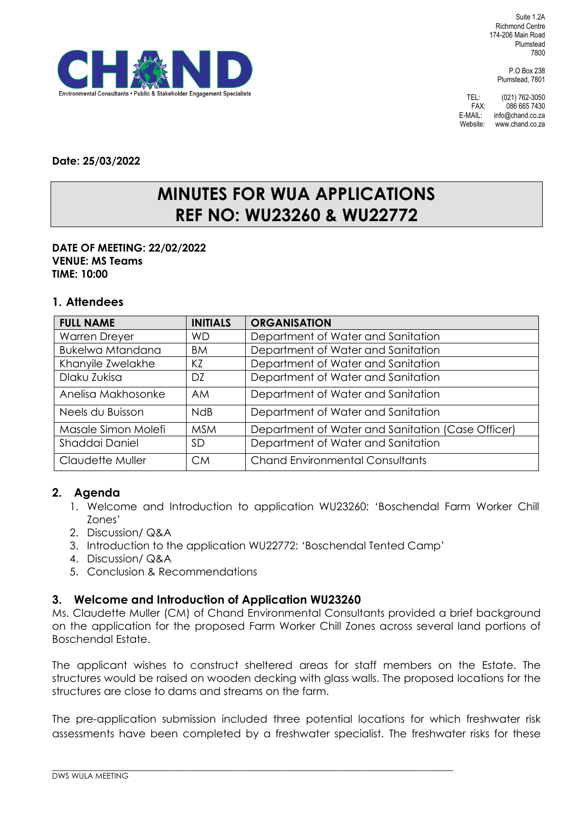Suite 1.2A Richmond Centre 174-206 Main Road Plumstead 7800

> P.O Box 238 Plumstead, 7801

TEL: (021) 762-3050<br>FAX: 086 665 7430 086 665 7430 E-MAIL: info@chand.co.za Website: www.chand.co.za



**Date: 25/03/2022**

# **MINUTES FOR WUA APPLICATIONS REF NO: WU23260 & WU22772**

#### **DATE OF MEETING: 22/02/2022 VENUE: MS Teams TIME: 10:00**

### **1. Attendees**

| <b>FULL NAME</b>        | <b>INITIALS</b> | <b>ORGANISATION</b>                               |
|-------------------------|-----------------|---------------------------------------------------|
| <b>Warren Dreyer</b>    | <b>WD</b>       | Department of Water and Sanitation                |
| <b>Bukelwa Mtandana</b> | <b>BM</b>       | Department of Water and Sanitation                |
| Khanyile Zwelakhe       | KZ              | Department of Water and Sanitation                |
| Dlaku Zukisa            | DZ              | Department of Water and Sanitation                |
| Anelisa Makhosonke      | <b>AM</b>       | Department of Water and Sanitation                |
| Neels du Buisson        | <b>NdB</b>      | Department of Water and Sanitation                |
| Masale Simon Molefi     | <b>MSM</b>      | Department of Water and Sanitation (Case Officer) |
| Shaddai Daniel          | <b>SD</b>       | Department of Water and Sanitation                |
| Claudette Muller        | <b>CM</b>       | <b>Chand Environmental Consultants</b>            |

## **2. Agenda**

- 1. Welcome and Introduction to application WU23260: 'Boschendal Farm Worker Chill Zones'
- 2. Discussion/ Q&A
- 3. Introduction to the application WU22772: 'Boschendal Tented Camp'

 $\_$  ,  $\_$  ,  $\_$  ,  $\_$  ,  $\_$  ,  $\_$  ,  $\_$  ,  $\_$  ,  $\_$  ,  $\_$  ,  $\_$  ,  $\_$  ,  $\_$  ,  $\_$  ,  $\_$  ,  $\_$  ,  $\_$  ,  $\_$  ,  $\_$  ,  $\_$  ,  $\_$  ,  $\_$  ,  $\_$  ,  $\_$  ,  $\_$  ,  $\_$  ,  $\_$  ,  $\_$  ,  $\_$  ,  $\_$  ,  $\_$  ,  $\_$  ,  $\_$  ,  $\_$  ,  $\_$  ,  $\_$  ,  $\_$  ,

- 4. Discussion/ Q&A
- 5. Conclusion & Recommendations

#### **3. Welcome and Introduction of Application WU23260**

Ms. Claudette Muller (CM) of Chand Environmental Consultants provided a brief background on the application for the proposed Farm Worker Chill Zones across several land portions of Boschendal Estate.

The applicant wishes to construct sheltered areas for staff members on the Estate. The structures would be raised on wooden decking with glass walls. The proposed locations for the structures are close to dams and streams on the farm.

The pre-application submission included three potential locations for which freshwater risk assessments have been completed by a freshwater specialist. The freshwater risks for these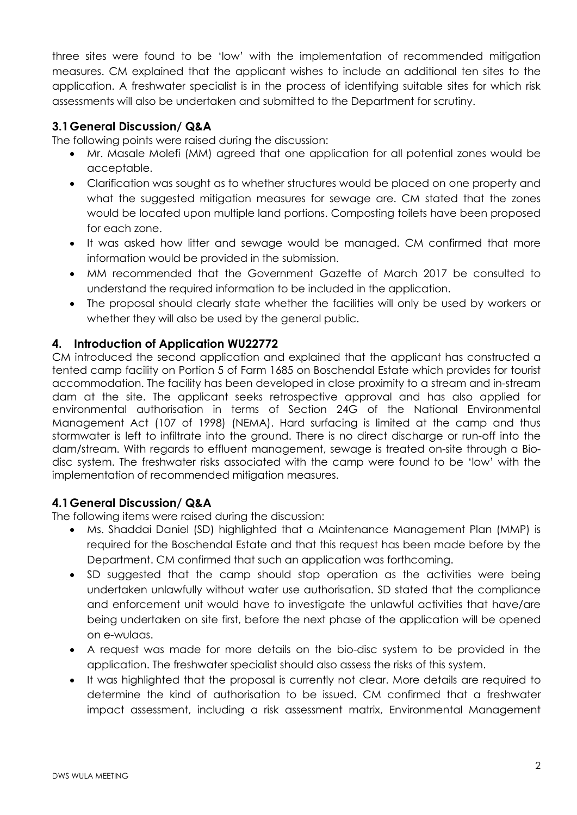three sites were found to be 'low' with the implementation of recommended mitigation measures. CM explained that the applicant wishes to include an additional ten sites to the application. A freshwater specialist is in the process of identifying suitable sites for which risk assessments will also be undertaken and submitted to the Department for scrutiny.

## **3.1General Discussion/ Q&A**

The following points were raised during the discussion:

- Mr. Masale Molefi (MM) agreed that one application for all potential zones would be acceptable.
- Clarification was sought as to whether structures would be placed on one property and what the suggested mitigation measures for sewage are. CM stated that the zones would be located upon multiple land portions. Composting toilets have been proposed for each zone.
- It was asked how litter and sewage would be managed. CM confirmed that more information would be provided in the submission.
- MM recommended that the Government Gazette of March 2017 be consulted to understand the required information to be included in the application.
- The proposal should clearly state whether the facilities will only be used by workers or whether they will also be used by the general public.

## **4. Introduction of Application WU22772**

CM introduced the second application and explained that the applicant has constructed a tented camp facility on Portion 5 of Farm 1685 on Boschendal Estate which provides for tourist accommodation. The facility has been developed in close proximity to a stream and in-stream dam at the site. The applicant seeks retrospective approval and has also applied for environmental authorisation in terms of Section 24G of the National Environmental Management Act (107 of 1998) (NEMA). Hard surfacing is limited at the camp and thus stormwater is left to infiltrate into the ground. There is no direct discharge or run-off into the dam/stream. With regards to effluent management, sewage is treated on-site through a Biodisc system. The freshwater risks associated with the camp were found to be 'low' with the implementation of recommended mitigation measures.

## **4.1General Discussion/ Q&A**

The following items were raised during the discussion:

- Ms. Shaddai Daniel (SD) highlighted that a Maintenance Management Plan (MMP) is required for the Boschendal Estate and that this request has been made before by the Department. CM confirmed that such an application was forthcoming.
- SD suggested that the camp should stop operation as the activities were being undertaken unlawfully without water use authorisation. SD stated that the compliance and enforcement unit would have to investigate the unlawful activities that have/are being undertaken on site first, before the next phase of the application will be opened on e-wulaas.
- A request was made for more details on the bio-disc system to be provided in the application. The freshwater specialist should also assess the risks of this system.
- It was highlighted that the proposal is currently not clear. More details are required to determine the kind of authorisation to be issued. CM confirmed that a freshwater impact assessment, including a risk assessment matrix, Environmental Management